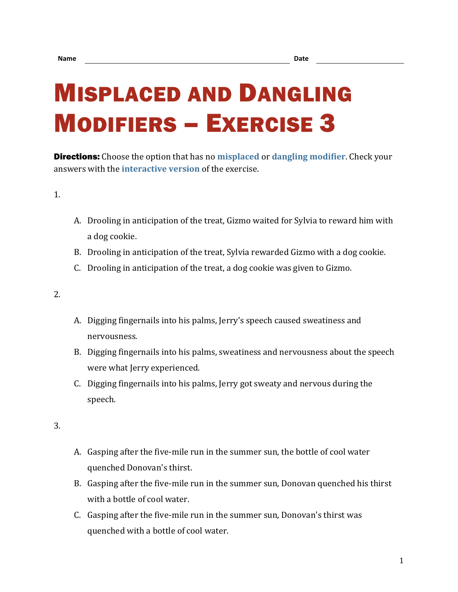## MISPLACED AND DANGLING MODIFIERS – EXERCISE 3

Directions: Choose the option that has no **[misplaced](https://chompchomp.com/terms/misplacedmodifier.htm)** or **[dangling modifier](https://chompchomp.com/terms/danglingmodifier.htm)**. Check your answers with the **[interactive version](https://chompchomp.com/modifiers03/)** of the exercise.

1.

- A. Drooling in anticipation of the treat, Gizmo waited for Sylvia to reward him with a dog cookie.
- B. Drooling in anticipation of the treat, Sylvia rewarded Gizmo with a dog cookie.
- C. Drooling in anticipation of the treat, a dog cookie was given to Gizmo.

2.

- A. Digging fingernails into his palms, Jerry's speech caused sweatiness and nervousness.
- B. Digging fingernails into his palms, sweatiness and nervousness about the speech were what Jerry experienced.
- C. Digging fingernails into his palms, Jerry got sweaty and nervous during the speech.

- A. Gasping after the five-mile run in the summer sun, the bottle of cool water quenched Donovan's thirst.
- B. Gasping after the five-mile run in the summer sun, Donovan quenched his thirst with a bottle of cool water.
- C. Gasping after the five-mile run in the summer sun, Donovan's thirst was quenched with a bottle of cool water.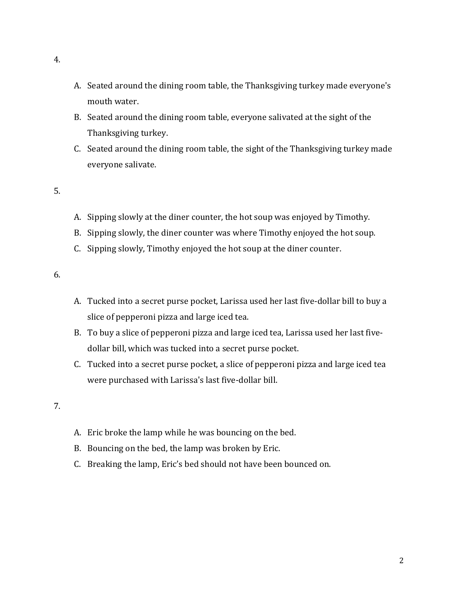- A. Seated around the dining room table, the Thanksgiving turkey made everyone's mouth water.
- B. Seated around the dining room table, everyone salivated at the sight of the Thanksgiving turkey.
- C. Seated around the dining room table, the sight of the Thanksgiving turkey made everyone salivate.
- 5.
- A. Sipping slowly at the diner counter, the hot soup was enjoyed by Timothy.
- B. Sipping slowly, the diner counter was where Timothy enjoyed the hot soup.
- C. Sipping slowly, Timothy enjoyed the hot soup at the diner counter.

- A. Tucked into a secret purse pocket, Larissa used her last five-dollar bill to buy a slice of pepperoni pizza and large iced tea.
- B. To buy a slice of pepperoni pizza and large iced tea, Larissa used her last fivedollar bill, which was tucked into a secret purse pocket.
- C. Tucked into a secret purse pocket, a slice of pepperoni pizza and large iced tea were purchased with Larissa's last five-dollar bill.

- A. Eric broke the lamp while he was bouncing on the bed.
- B. Bouncing on the bed, the lamp was broken by Eric.
- C. Breaking the lamp, Eric's bed should not have been bounced on.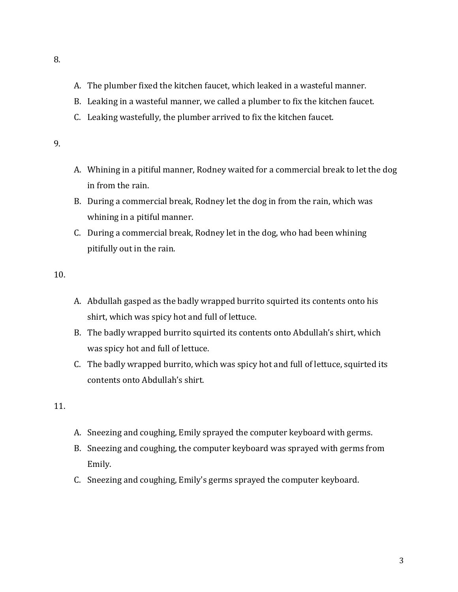- A. The plumber fixed the kitchen faucet, which leaked in a wasteful manner.
- B. Leaking in a wasteful manner, we called a plumber to fix the kitchen faucet.
- C. Leaking wastefully, the plumber arrived to fix the kitchen faucet.
- 9.
- A. Whining in a pitiful manner, Rodney waited for a commercial break to let the dog in from the rain.
- B. During a commercial break, Rodney let the dog in from the rain, which was whining in a pitiful manner.
- C. During a commercial break, Rodney let in the dog, who had been whining pitifully out in the rain.

- A. Abdullah gasped as the badly wrapped burrito squirted its contents onto his shirt, which was spicy hot and full of lettuce.
- B. The badly wrapped burrito squirted its contents onto Abdullah's shirt, which was spicy hot and full of lettuce.
- C. The badly wrapped burrito, which was spicy hot and full of lettuce, squirted its contents onto Abdullah's shirt.

- A. Sneezing and coughing, Emily sprayed the computer keyboard with germs.
- B. Sneezing and coughing, the computer keyboard was sprayed with germs from Emily.
- C. Sneezing and coughing, Emily's germs sprayed the computer keyboard.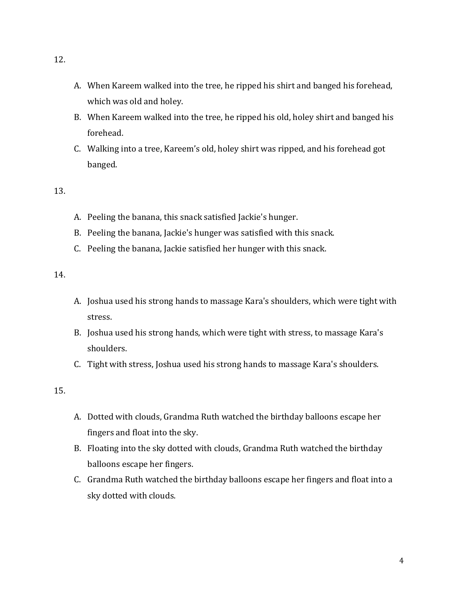- A. When Kareem walked into the tree, he ripped his shirt and banged his forehead, which was old and holey.
- B. When Kareem walked into the tree, he ripped his old, holey shirt and banged his forehead.
- C. Walking into a tree, Kareem's old, holey shirt was ripped, and his forehead got banged.

- A. Peeling the banana, this snack satisfied Jackie's hunger.
- B. Peeling the banana, Jackie's hunger was satisfied with this snack.
- C. Peeling the banana, Jackie satisfied her hunger with this snack.

14.

- A. Joshua used his strong hands to massage Kara's shoulders, which were tight with stress.
- B. Joshua used his strong hands, which were tight with stress, to massage Kara's shoulders.
- C. Tight with stress, Joshua used his strong hands to massage Kara's shoulders.

- A. Dotted with clouds, Grandma Ruth watched the birthday balloons escape her fingers and float into the sky.
- B. Floating into the sky dotted with clouds, Grandma Ruth watched the birthday balloons escape her fingers.
- C. Grandma Ruth watched the birthday balloons escape her fingers and float into a sky dotted with clouds.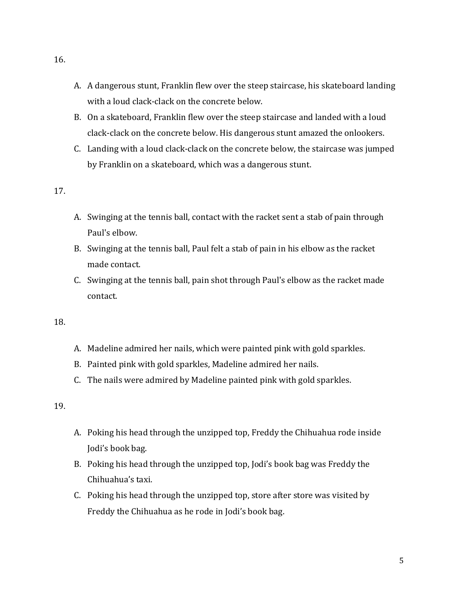- A. A dangerous stunt, Franklin flew over the steep staircase, his skateboard landing with a loud clack-clack on the concrete below.
- B. On a skateboard, Franklin flew over the steep staircase and landed with a loud clack-clack on the concrete below. His dangerous stunt amazed the onlookers.
- C. Landing with a loud clack-clack on the concrete below, the staircase was jumped by Franklin on a skateboard, which was a dangerous stunt.

- A. Swinging at the tennis ball, contact with the racket sent a stab of pain through Paul's elbow.
- B. Swinging at the tennis ball, Paul felt a stab of pain in his elbow as the racket made contact.
- C. Swinging at the tennis ball, pain shot through Paul's elbow as the racket made contact.

18.

- A. Madeline admired her nails, which were painted pink with gold sparkles.
- B. Painted pink with gold sparkles, Madeline admired her nails.
- C. The nails were admired by Madeline painted pink with gold sparkles.

- A. Poking his head through the unzipped top, Freddy the Chihuahua rode inside Jodi's book bag.
- B. Poking his head through the unzipped top, Jodi's book bag was Freddy the Chihuahua's taxi.
- C. Poking his head through the unzipped top, store after store was visited by Freddy the Chihuahua as he rode in Jodi's book bag.